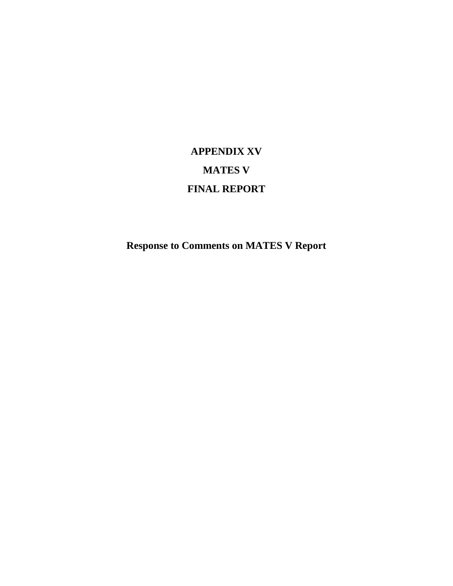# **APPENDIX XV MATES V FINAL REPORT**

**Response to Comments on MATES V Report**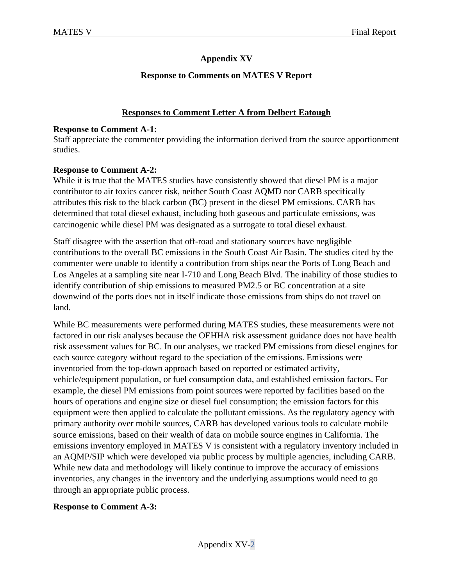# **Appendix XV**

# **Response to Comments on MATES V Report**

# **Responses to Comment Letter A from Delbert Eatough**

#### **Response to Comment A-1:**

Staff appreciate the commenter providing the information derived from the source apportionment studies.

## **Response to Comment A-2:**

While it is true that the MATES studies have consistently showed that diesel PM is a major contributor to air toxics cancer risk, neither South Coast AQMD nor CARB specifically attributes this risk to the black carbon (BC) present in the diesel PM emissions. CARB has determined that total diesel exhaust, including both gaseous and particulate emissions, was carcinogenic while diesel PM was designated as a surrogate to total diesel exhaust.

Staff disagree with the assertion that off-road and stationary sources have negligible contributions to the overall BC emissions in the South Coast Air Basin. The studies cited by the commenter were unable to identify a contribution from ships near the Ports of Long Beach and Los Angeles at a sampling site near I-710 and Long Beach Blvd. The inability of those studies to identify contribution of ship emissions to measured PM2.5 or BC concentration at a site downwind of the ports does not in itself indicate those emissions from ships do not travel on land.

While BC measurements were performed during MATES studies, these measurements were not factored in our risk analyses because the OEHHA risk assessment guidance does not have health risk assessment values for BC. In our analyses, we tracked PM emissions from diesel engines for each source category without regard to the speciation of the emissions. Emissions were inventoried from the top-down approach based on reported or estimated activity, vehicle/equipment population, or fuel consumption data, and established emission factors. For example, the diesel PM emissions from point sources were reported by facilities based on the hours of operations and engine size or diesel fuel consumption; the emission factors for this equipment were then applied to calculate the pollutant emissions. As the regulatory agency with primary authority over mobile sources, CARB has developed various tools to calculate mobile source emissions, based on their wealth of data on mobile source engines in California. The emissions inventory employed in MATES V is consistent with a regulatory inventory included in an AQMP/SIP which were developed via public process by multiple agencies, including CARB. While new data and methodology will likely continue to improve the accuracy of emissions inventories, any changes in the inventory and the underlying assumptions would need to go through an appropriate public process.

## **Response to Comment A-3:**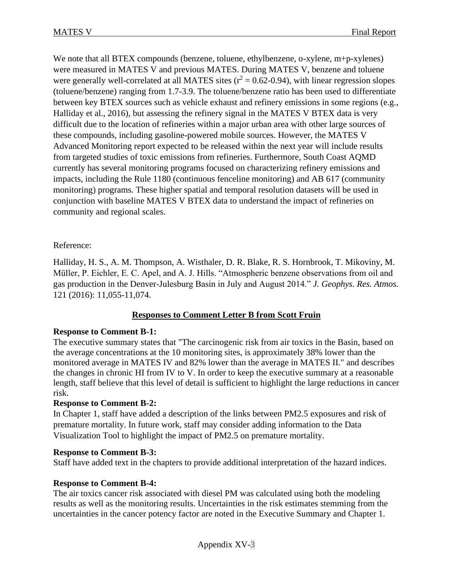We note that all BTEX compounds (benzene, toluene, ethylbenzene, o-xylene, m+p-xylenes) were measured in MATES V and previous MATES. During MATES V, benzene and toluene were generally well-correlated at all MATES sites  $(r^2 = 0.62 - 0.94)$ , with linear regression slopes (toluene/benzene) ranging from 1.7-3.9. The toluene/benzene ratio has been used to differentiate between key BTEX sources such as vehicle exhaust and refinery emissions in some regions (e.g., Halliday et al., 2016), but assessing the refinery signal in the MATES V BTEX data is very difficult due to the location of refineries within a major urban area with other large sources of these compounds, including gasoline-powered mobile sources. However, the MATES V Advanced Monitoring report expected to be released within the next year will include results from targeted studies of toxic emissions from refineries. Furthermore, South Coast AQMD currently has several monitoring programs focused on characterizing refinery emissions and impacts, including the Rule 1180 (continuous fenceline monitoring) and AB 617 (community monitoring) programs. These higher spatial and temporal resolution datasets will be used in conjunction with baseline MATES V BTEX data to understand the impact of refineries on community and regional scales.

## Reference:

Halliday, H. S., A. M. Thompson, A. Wisthaler, D. R. Blake, R. S. Hornbrook, T. Mikoviny, M. Müller, P. Eichler, E. C. Apel, and A. J. Hills. "Atmospheric benzene observations from oil and gas production in the Denver-Julesburg Basin in July and August 2014." *J. Geophys. Res. Atmos.* 121 (2016): 11,055-11,074.

# **Responses to Comment Letter B from Scott Fruin**

## **Response to Comment B-1:**

The executive summary states that "The carcinogenic risk from air toxics in the Basin, based on the average concentrations at the 10 monitoring sites, is approximately 38% lower than the monitored average in MATES IV and 82% lower than the average in MATES II." and describes the changes in chronic HI from IV to V. In order to keep the executive summary at a reasonable length, staff believe that this level of detail is sufficient to highlight the large reductions in cancer risk.

## **Response to Comment B-2:**

In Chapter 1, staff have added a description of the links between PM2.5 exposures and risk of premature mortality. In future work, staff may consider adding information to the Data Visualization Tool to highlight the impact of PM2.5 on premature mortality.

#### **Response to Comment B-3:**

Staff have added text in the chapters to provide additional interpretation of the hazard indices.

## **Response to Comment B-4:**

The air toxics cancer risk associated with diesel PM was calculated using both the modeling results as well as the monitoring results. Uncertainties in the risk estimates stemming from the uncertainties in the cancer potency factor are noted in the Executive Summary and Chapter 1.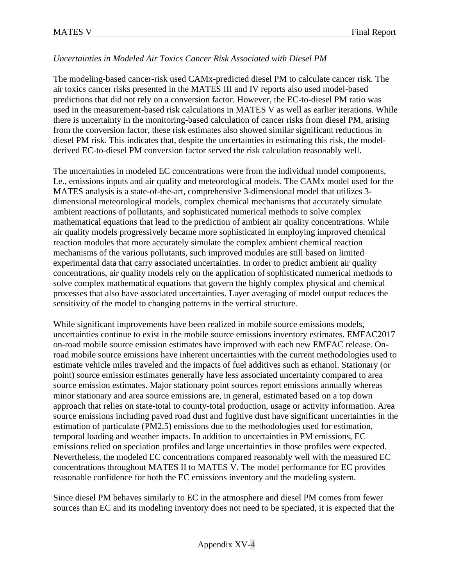# *Uncertainties in Modeled Air Toxics Cancer Risk Associated with Diesel PM*

The modeling-based cancer-risk used CAMx-predicted diesel PM to calculate cancer risk. The air toxics cancer risks presented in the MATES III and IV reports also used model-based predictions that did not rely on a conversion factor. However, the EC-to-diesel PM ratio was used in the measurement-based risk calculations in MATES V as well as earlier iterations. While there is uncertainty in the monitoring-based calculation of cancer risks from diesel PM, arising from the conversion factor, these risk estimates also showed similar significant reductions in diesel PM risk. This indicates that, despite the uncertainties in estimating this risk, the modelderived EC-to-diesel PM conversion factor served the risk calculation reasonably well.

The uncertainties in modeled EC concentrations were from the individual model components, I.e., emissions inputs and air quality and meteorological models. The CAMx model used for the MATES analysis is a state-of-the-art, comprehensive 3-dimensional model that utilizes 3 dimensional meteorological models, complex chemical mechanisms that accurately simulate ambient reactions of pollutants, and sophisticated numerical methods to solve complex mathematical equations that lead to the prediction of ambient air quality concentrations. While air quality models progressively became more sophisticated in employing improved chemical reaction modules that more accurately simulate the complex ambient chemical reaction mechanisms of the various pollutants, such improved modules are still based on limited experimental data that carry associated uncertainties. In order to predict ambient air quality concentrations, air quality models rely on the application of sophisticated numerical methods to solve complex mathematical equations that govern the highly complex physical and chemical processes that also have associated uncertainties. Layer averaging of model output reduces the sensitivity of the model to changing patterns in the vertical structure.

While significant improvements have been realized in mobile source emissions models, uncertainties continue to exist in the mobile source emissions inventory estimates. EMFAC2017 on-road mobile source emission estimates have improved with each new EMFAC release. Onroad mobile source emissions have inherent uncertainties with the current methodologies used to estimate vehicle miles traveled and the impacts of fuel additives such as ethanol. Stationary (or point) source emission estimates generally have less associated uncertainty compared to area source emission estimates. Major stationary point sources report emissions annually whereas minor stationary and area source emissions are, in general, estimated based on a top down approach that relies on state-total to county-total production, usage or activity information. Area source emissions including paved road dust and fugitive dust have significant uncertainties in the estimation of particulate (PM2.5) emissions due to the methodologies used for estimation, temporal loading and weather impacts. In addition to uncertainties in PM emissions, EC emissions relied on speciation profiles and large uncertainties in those profiles were expected. Nevertheless, the modeled EC concentrations compared reasonably well with the measured EC concentrations throughout MATES II to MATES V. The model performance for EC provides reasonable confidence for both the EC emissions inventory and the modeling system.

Since diesel PM behaves similarly to EC in the atmosphere and diesel PM comes from fewer sources than EC and its modeling inventory does not need to be speciated, it is expected that the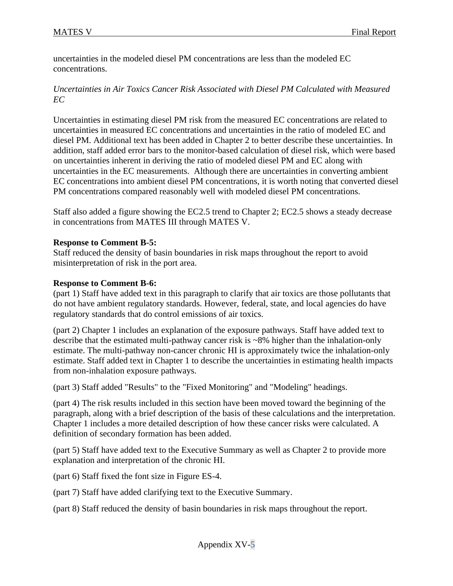uncertainties in the modeled diesel PM concentrations are less than the modeled EC concentrations.

# *Uncertainties in Air Toxics Cancer Risk Associated with Diesel PM Calculated with Measured EC*

Uncertainties in estimating diesel PM risk from the measured EC concentrations are related to uncertainties in measured EC concentrations and uncertainties in the ratio of modeled EC and diesel PM. Additional text has been added in Chapter 2 to better describe these uncertainties. In addition, staff added error bars to the monitor-based calculation of diesel risk, which were based on uncertainties inherent in deriving the ratio of modeled diesel PM and EC along with uncertainties in the EC measurements. Although there are uncertainties in converting ambient EC concentrations into ambient diesel PM concentrations, it is worth noting that converted diesel PM concentrations compared reasonably well with modeled diesel PM concentrations.

Staff also added a figure showing the EC2.5 trend to Chapter 2; EC2.5 shows a steady decrease in concentrations from MATES III through MATES V.

## **Response to Comment B-5:**

Staff reduced the density of basin boundaries in risk maps throughout the report to avoid misinterpretation of risk in the port area.

## **Response to Comment B-6:**

(part 1) Staff have added text in this paragraph to clarify that air toxics are those pollutants that do not have ambient regulatory standards. However, federal, state, and local agencies do have regulatory standards that do control emissions of air toxics.

(part 2) Chapter 1 includes an explanation of the exposure pathways. Staff have added text to describe that the estimated multi-pathway cancer risk is ~8% higher than the inhalation-only estimate. The multi-pathway non-cancer chronic HI is approximately twice the inhalation-only estimate. Staff added text in Chapter 1 to describe the uncertainties in estimating health impacts from non-inhalation exposure pathways.

(part 3) Staff added "Results" to the "Fixed Monitoring" and "Modeling" headings.

(part 4) The risk results included in this section have been moved toward the beginning of the paragraph, along with a brief description of the basis of these calculations and the interpretation. Chapter 1 includes a more detailed description of how these cancer risks were calculated. A definition of secondary formation has been added.

(part 5) Staff have added text to the Executive Summary as well as Chapter 2 to provide more explanation and interpretation of the chronic HI.

(part 6) Staff fixed the font size in Figure ES-4.

(part 7) Staff have added clarifying text to the Executive Summary.

(part 8) Staff reduced the density of basin boundaries in risk maps throughout the report.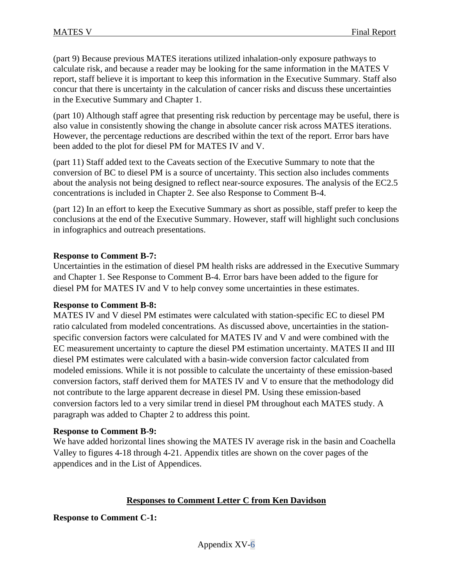(part 9) Because previous MATES iterations utilized inhalation-only exposure pathways to calculate risk, and because a reader may be looking for the same information in the MATES V report, staff believe it is important to keep this information in the Executive Summary. Staff also concur that there is uncertainty in the calculation of cancer risks and discuss these uncertainties in the Executive Summary and Chapter 1.

(part 10) Although staff agree that presenting risk reduction by percentage may be useful, there is also value in consistently showing the change in absolute cancer risk across MATES iterations. However, the percentage reductions are described within the text of the report. Error bars have been added to the plot for diesel PM for MATES IV and V.

(part 11) Staff added text to the Caveats section of the Executive Summary to note that the conversion of BC to diesel PM is a source of uncertainty. This section also includes comments about the analysis not being designed to reflect near-source exposures. The analysis of the EC2.5 concentrations is included in Chapter 2. See also Response to Comment B-4.

(part 12) In an effort to keep the Executive Summary as short as possible, staff prefer to keep the conclusions at the end of the Executive Summary. However, staff will highlight such conclusions in infographics and outreach presentations.

## **Response to Comment B-7:**

Uncertainties in the estimation of diesel PM health risks are addressed in the Executive Summary and Chapter 1. See Response to Comment B-4. Error bars have been added to the figure for diesel PM for MATES IV and V to help convey some uncertainties in these estimates.

## **Response to Comment B-8:**

MATES IV and V diesel PM estimates were calculated with station-specific EC to diesel PM ratio calculated from modeled concentrations. As discussed above, uncertainties in the stationspecific conversion factors were calculated for MATES IV and V and were combined with the EC measurement uncertainty to capture the diesel PM estimation uncertainty. MATES II and III diesel PM estimates were calculated with a basin-wide conversion factor calculated from modeled emissions. While it is not possible to calculate the uncertainty of these emission-based conversion factors, staff derived them for MATES IV and V to ensure that the methodology did not contribute to the large apparent decrease in diesel PM. Using these emission-based conversion factors led to a very similar trend in diesel PM throughout each MATES study. A paragraph was added to Chapter 2 to address this point.

## **Response to Comment B-9:**

We have added horizontal lines showing the MATES IV average risk in the basin and Coachella Valley to figures 4-18 through 4-21. Appendix titles are shown on the cover pages of the appendices and in the List of Appendices.

## **Responses to Comment Letter C from Ken Davidson**

**Response to Comment C-1:**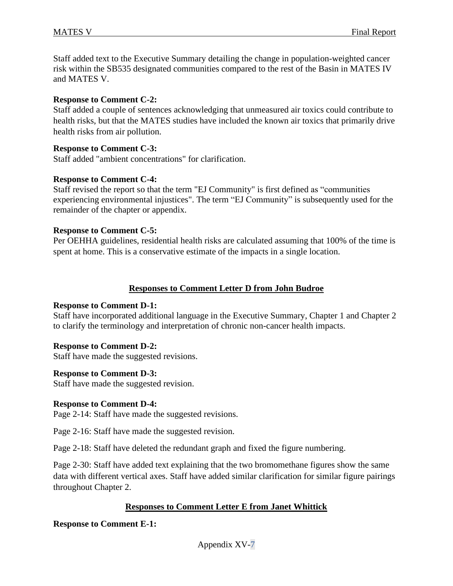Staff added text to the Executive Summary detailing the change in population-weighted cancer risk within the SB535 designated communities compared to the rest of the Basin in MATES IV and MATES V.

#### **Response to Comment C-2:**

Staff added a couple of sentences acknowledging that unmeasured air toxics could contribute to health risks, but that the MATES studies have included the known air toxics that primarily drive health risks from air pollution.

#### **Response to Comment C-3:**

Staff added "ambient concentrations" for clarification.

#### **Response to Comment C-4:**

Staff revised the report so that the term "EJ Community" is first defined as "communities experiencing environmental injustices". The term "EJ Community" is subsequently used for the remainder of the chapter or appendix.

#### **Response to Comment C-5:**

Per OEHHA guidelines, residential health risks are calculated assuming that 100% of the time is spent at home. This is a conservative estimate of the impacts in a single location.

#### **Responses to Comment Letter D from John Budroe**

#### **Response to Comment D-1:**

Staff have incorporated additional language in the Executive Summary, Chapter 1 and Chapter 2 to clarify the terminology and interpretation of chronic non-cancer health impacts.

## **Response to Comment D-2:**

Staff have made the suggested revisions.

## **Response to Comment D-3:**

Staff have made the suggested revision.

#### **Response to Comment D-4:**

Page 2-14: Staff have made the suggested revisions.

Page 2-16: Staff have made the suggested revision.

Page 2-18: Staff have deleted the redundant graph and fixed the figure numbering.

Page 2-30: Staff have added text explaining that the two bromomethane figures show the same data with different vertical axes. Staff have added similar clarification for similar figure pairings throughout Chapter 2.

## **Responses to Comment Letter E from Janet Whittick**

## **Response to Comment E-1:**